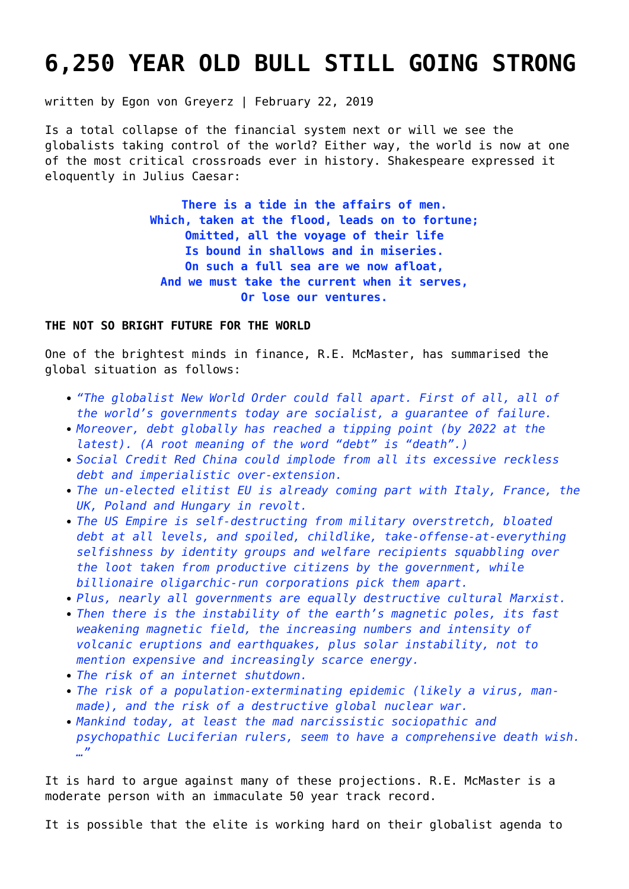# **[6,250 YEAR OLD BULL STILL GOING STRONG](https://goldswitzerland.com/6250-year-old-bull-still-going-strong/)**

written by Egon von Greyerz | February 22, 2019

Is a total collapse of the financial system next or will we see the globalists taking control of the world? Either way, the world is now at one of the most critical crossroads ever in history. Shakespeare expressed it eloquently in Julius Caesar:

> **There is a tide in the affairs of men. Which, taken at the flood, leads on to fortune; Omitted, all the voyage of their life Is bound in shallows and in miseries. On such a full sea are we now afloat, And we must take the current when it serves, Or lose our ventures.**

#### **THE NOT SO BRIGHT FUTURE FOR THE WORLD**

One of the brightest minds in finance, R.E. McMaster, has summarised the global situation as follows:

- *"The globalist New World Order could fall apart. First of all, all of the world's governments today are socialist, a guarantee of failure.*
- *Moreover, debt globally has reached a tipping point (by 2022 at the latest). (A root meaning of the word "debt" is "death".)*
- *Social Credit Red China could implode from all its excessive reckless debt and imperialistic over-extension.*
- *The un-elected elitist EU is already coming part with Italy, France, the UK, Poland and Hungary in revolt.*
- *The US Empire is self-destructing from military overstretch, bloated debt at all levels, and spoiled, childlike, take-offense-at-everything selfishness by identity groups and welfare recipients squabbling over the loot taken from productive citizens by the government, while billionaire oligarchic-run corporations pick them apart.*
- *Plus, nearly all governments are equally destructive cultural Marxist.*
- *Then there is the instability of the earth's magnetic poles, its fast weakening magnetic field, the increasing numbers and intensity of volcanic eruptions and earthquakes, plus solar instability, not to mention expensive and increasingly scarce energy.*
- *The risk of an internet shutdown.*
- *The risk of a population-exterminating epidemic (likely a virus, manmade), and the risk of a destructive global nuclear war.*
- *Mankind today, at least the mad narcissistic sociopathic and psychopathic Luciferian rulers, seem to have a comprehensive death wish. …"*

It is hard to argue against many of these projections. R.E. McMaster is a moderate person with an immaculate 50 year track record.

It is possible that the elite is working hard on their globalist agenda to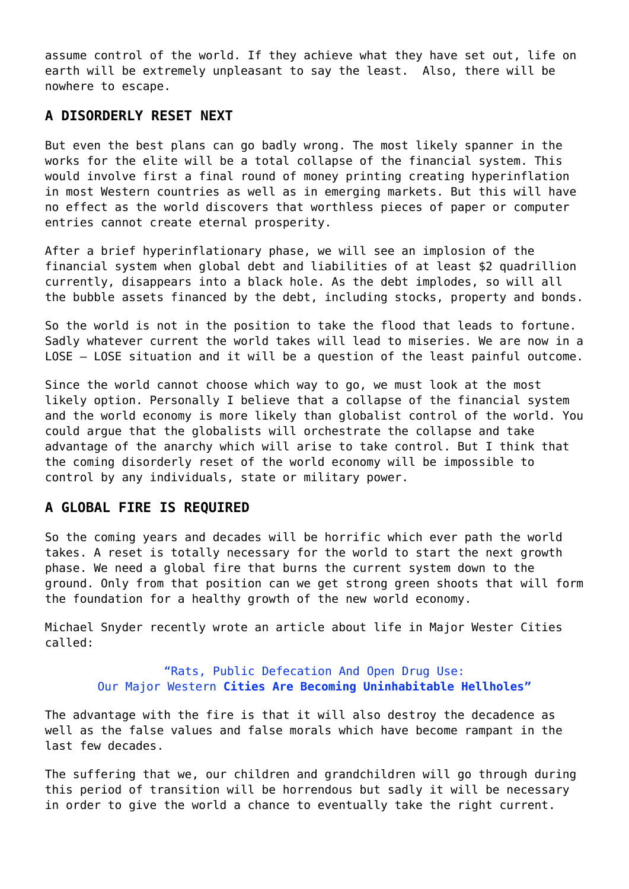assume control of the world. If they achieve what they have set out, life on earth will be extremely unpleasant to say the least. Also, there will be nowhere to escape.

#### **A DISORDERLY RESET NEXT**

But even the best plans can go badly wrong. The most likely spanner in the works for the elite will be a total collapse of the financial system. This would involve first a final round of money printing creating hyperinflation in most Western countries as well as in emerging markets. But this will have no effect as the world discovers that worthless pieces of paper or computer entries cannot create eternal prosperity.

After a brief hyperinflationary phase, we will see an implosion of the financial system when global debt and liabilities of at least \$2 quadrillion currently, disappears into a black hole. As the debt implodes, so will all the bubble assets financed by the debt, including stocks, property and bonds.

So the world is not in the position to take the flood that leads to fortune. Sadly whatever current the world takes will lead to miseries. We are now in a LOSE – LOSE situation and it will be a question of the least painful outcome.

Since the world cannot choose which way to go, we must look at the most likely option. Personally I believe that a collapse of the financial system and the world economy is more likely than globalist control of the world. You could argue that the globalists will orchestrate the collapse and take advantage of the anarchy which will arise to take control. But I think that the coming disorderly reset of the world economy will be impossible to control by any individuals, state or military power.

### **A GLOBAL FIRE IS REQUIRED**

So the coming years and decades will be horrific which ever path the world takes. A reset is totally necessary for the world to start the next growth phase. We need a global fire that burns the current system down to the ground. Only from that position can we get strong green shoots that will form the foundation for a healthy growth of the new world economy.

Michael Snyder recently wrote an article about life in Major Wester Cities called:

> "Rats, Public Defecation And Open Drug Use: Our Major Western **Cities Are Becoming Uninhabitable Hellholes"**

The advantage with the fire is that it will also destroy the decadence as well as the false values and false morals which have become rampant in the last few decades.

The suffering that we, our children and grandchildren will go through during this period of transition will be horrendous but sadly it will be necessary in order to give the world a chance to eventually take the right current.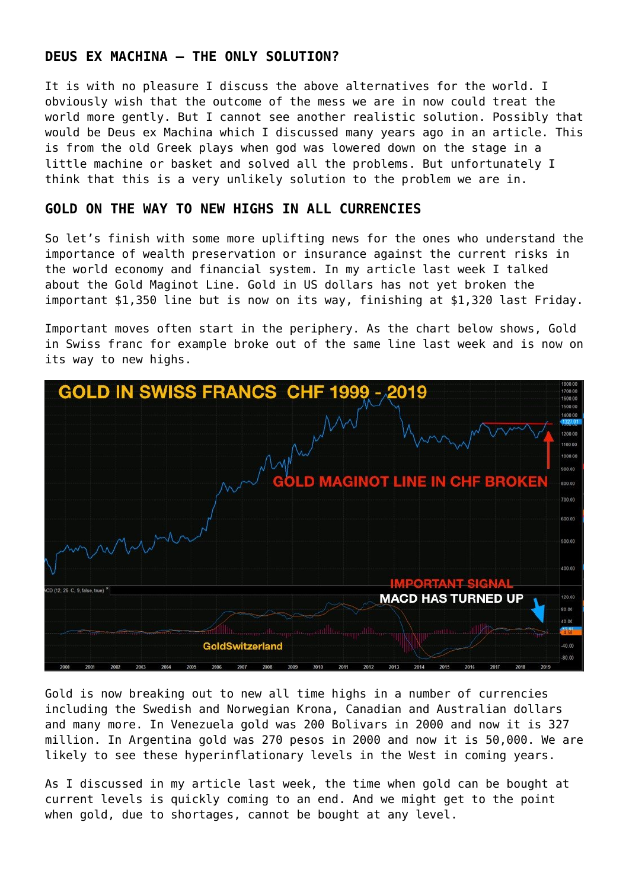### **DEUS EX MACHINA – THE ONLY SOLUTION?**

It is with no pleasure I discuss the above alternatives for the world. I obviously wish that the outcome of the mess we are in now could treat the world more gently. But I cannot see another realistic solution. Possibly that would be Deus ex Machina which I discussed many years ago in an article. This is from the old Greek plays when god was lowered down on the stage in a little machine or basket and solved all the problems. But unfortunately I think that this is a very unlikely solution to the problem we are in.

#### **GOLD ON THE WAY TO NEW HIGHS IN ALL CURRENCIES**

So let's finish with some more uplifting news for the ones who understand the importance of wealth preservation or insurance against the current risks in the world economy and financial system. In [my article last week](https://goldswitzerland.com/the-chinese-and-maginot-gold-lines/) I talked about the Gold Maginot Line. Gold in US dollars has not yet broken the important \$1,350 line but is now on its way, finishing at \$1,320 last Friday.

Important moves often start in the periphery. As the chart below shows, Gold in Swiss franc for example broke out of the same line last week and is now on its way to new highs.



Gold is now breaking out to new all time highs in a number of currencies including the Swedish and Norwegian Krona, Canadian and Australian dollars and many more. In Venezuela gold was 200 Bolivars in 2000 and now it is 327 million. In Argentina gold was 270 pesos in 2000 and now it is 50,000. We are likely to see these hyperinflationary levels in the West in coming years.

As I discussed in my article last week, the time when gold can be bought at current levels is quickly coming to an end. And we might get to the point when gold, due to shortages, cannot be bought at any level.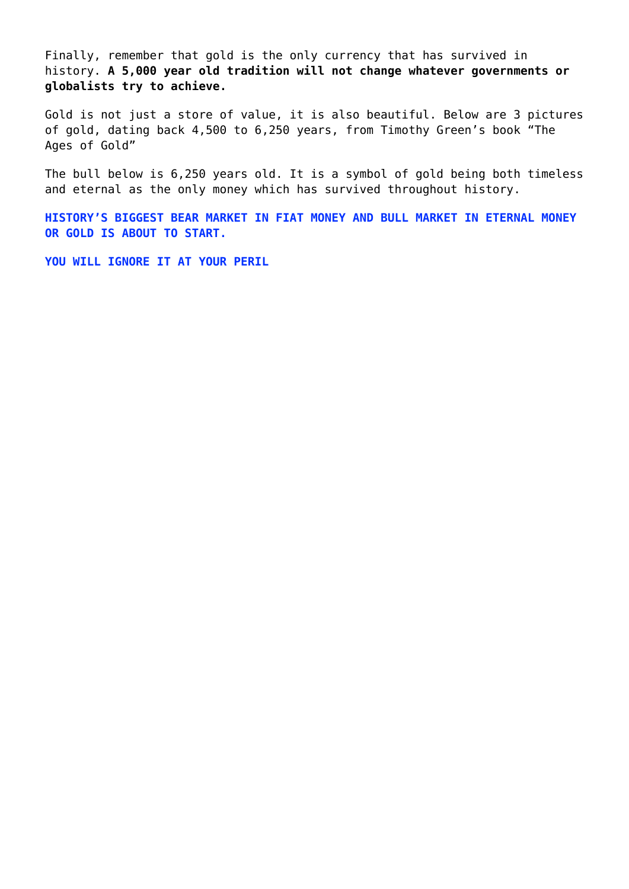Finally, remember that gold is the only currency that has survived in history. **A 5,000 year old tradition will not change whatever governments or globalists try to achieve.**

Gold is not just a store of value, it is also beautiful. Below are 3 pictures of gold, dating back 4,500 to 6,250 years, from Timothy Green's book "The Ages of Gold"

The bull below is 6,250 years old. It is a symbol of gold being both timeless and eternal as the only money which has survived throughout history.

**HISTORY'S BIGGEST BEAR MARKET IN FIAT MONEY AND BULL MARKET IN ETERNAL MONEY OR GOLD IS ABOUT TO START.**

**YOU WILL IGNORE IT AT YOUR PERIL**